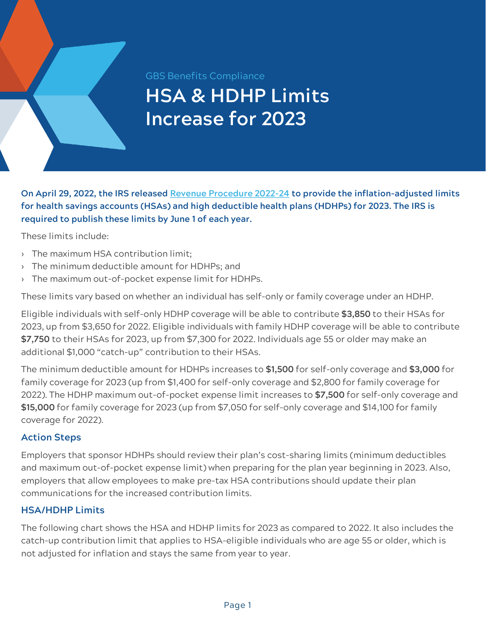**GBS Benefits Compliance** 

## **HSA & HDHP Limits Increase for 2023**

**On April 29, 2022, the IRS released [Revenue Procedure 2022-24](https://www.irs.gov/pub/irs-drop/rp-22-24.pdf) to provide the inflation-adjusted limits for health savings accounts (HSAs) and high deductible health plans (HDHPs) for 2023. The IRS is required to publish these limits by June 1 of each year.**

These limits include:

- › The maximum HSA contribution limit;
- › The minimum deductible amount for HDHPs; and
- › The maximum out-of-pocket expense limit for HDHPs.

These limits vary based on whether an individual has self-only or family coverage under an HDHP.

Eligible individuals with self-only HDHP coverage will be able to contribute **\$3,850** to their HSAs for 2023, up from \$3,650 for 2022. Eligible individuals with family HDHP coverage will be able to contribute **\$7,750** to their HSAs for 2023, up from \$7,300 for 2022. Individuals age 55 or older may make an additional \$1,000 "catch-up" contribution to their HSAs.

The minimum deductible amount for HDHPs increases to **\$1,500** for self-only coverage and **\$3,000** for family coverage for 2023 (up from \$1,400 for self-only coverage and \$2,800 for family coverage for 2022). The HDHP maximum out-of-pocket expense limit increases to **\$7,500** for self-only coverage and **\$15,000** for family coverage for 2023 (up from \$7,050 for self-only coverage and \$14,100 for family coverage for 2022).

## **Action Steps**

Employers that sponsor HDHPs should review their plan's cost-sharing limits (minimum deductibles and maximum out-of-pocket expense limit) when preparing for the plan year beginning in 2023. Also, employers that allow employees to make pre-tax HSA contributions should update their plan communications for the increased contribution limits.

## **HSA/HDHP Limits**

The following chart shows the HSA and HDHP limits for 2023 as compared to 2022. It also includes the catch-up contribution limit that applies to HSA-eligible individuals who are age 55 or older, which is not adjusted for inflation and stays the same from year to year.